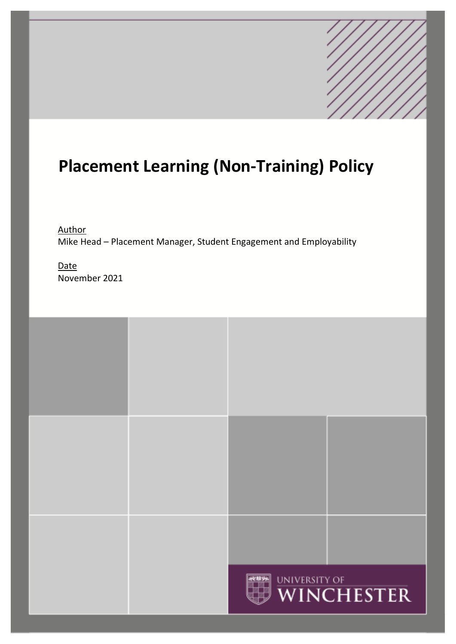# **Placement Learning (Non-Training) Policy**

Author Mike Head – Placement Manager, Student Engagement and Employability

**Date** November 2021

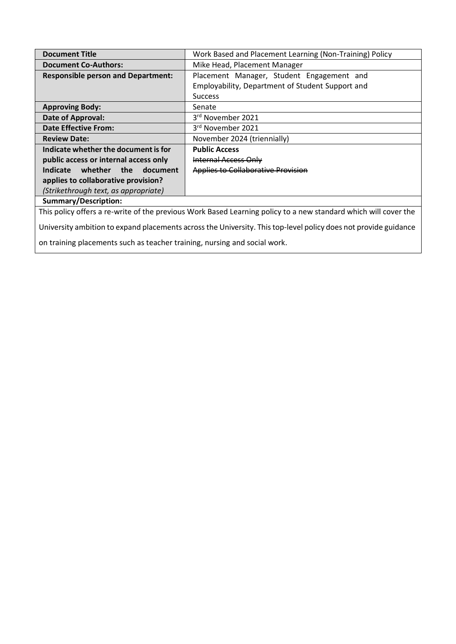| <b>Document Title</b>                                                                                           | Work Based and Placement Learning (Non-Training) Policy |
|-----------------------------------------------------------------------------------------------------------------|---------------------------------------------------------|
| <b>Document Co-Authors:</b>                                                                                     | Mike Head, Placement Manager                            |
| <b>Responsible person and Department:</b>                                                                       | Placement Manager, Student Engagement and               |
|                                                                                                                 | Employability, Department of Student Support and        |
|                                                                                                                 | <b>Success</b>                                          |
| <b>Approving Body:</b>                                                                                          | Senate                                                  |
| Date of Approval:                                                                                               | 3rd November 2021                                       |
| <b>Date Effective From:</b>                                                                                     | 3rd November 2021                                       |
| <b>Review Date:</b>                                                                                             | November 2024 (triennially)                             |
| Indicate whether the document is for                                                                            | <b>Public Access</b>                                    |
| public access or internal access only                                                                           | <del>Internal Access Only</del>                         |
| whether<br>the<br>Indicate<br>document                                                                          | <b>Applies to Collaborative Provision</b>               |
| applies to collaborative provision?                                                                             |                                                         |
| (Strikethrough text, as appropriate)                                                                            |                                                         |
| <b>Summary/Description:</b>                                                                                     |                                                         |
| This policy offers a re-write of the previous Work Based Learning policy to a new standard which will cover the |                                                         |
| University ambition to expand placements across the University. This top-level policy does not provide guidance |                                                         |

on training placements such as teacher training, nursing and social work.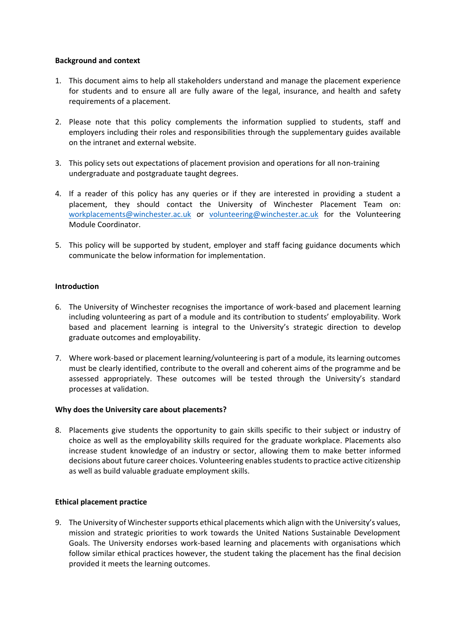# **Background and context**

- 1. This document aims to help all stakeholders understand and manage the placement experience for students and to ensure all are fully aware of the legal, insurance, and health and safety requirements of a placement.
- 2. Please note that this policy complements the information supplied to students, staff and employers including their roles and responsibilities through the supplementary guides available on the intranet and external website.
- 3. This policy sets out expectations of placement provision and operations for all non-training undergraduate and postgraduate taught degrees.
- 4. If a reader of this policy has any queries or if they are interested in providing a student a placement, they should contact the University of Winchester Placement Team on: [workplacements@winchester.ac.uk](mailto:workplacements@winchester.ac.uk) or [volunteering@winchester.ac.uk](mailto:Naomi.irving@winchester.ac.uk) for the Volunteering Module Coordinator.
- 5. This policy will be supported by student, employer and staff facing guidance documents which communicate the below information for implementation.

# **Introduction**

- 6. The University of Winchester recognises the importance of work-based and placement learning including volunteering as part of a module and its contribution to students' employability. Work based and placement learning is integral to the University's strategic direction to develop graduate outcomes and employability.
- 7. Where work-based or placement learning/volunteering is part of a module, its learning outcomes must be clearly identified, contribute to the overall and coherent aims of the programme and be assessed appropriately. These outcomes will be tested through the University's standard processes at validation.

# **Why does the University care about placements?**

8. Placements give students the opportunity to gain skills specific to their subject or industry of choice as well as the employability skills required for the graduate workplace. Placements also increase student knowledge of an industry or sector, allowing them to make better informed decisions about future career choices. Volunteering enables students to practice active citizenship as well as build valuable graduate employment skills.

# **Ethical placement practice**

9. The University of Winchester supports ethical placements which align with the University's values, mission and strategic priorities to work towards the United Nations Sustainable Development Goals. The University endorses work-based learning and placements with organisations which follow similar ethical practices however, the student taking the placement has the final decision provided it meets the learning outcomes.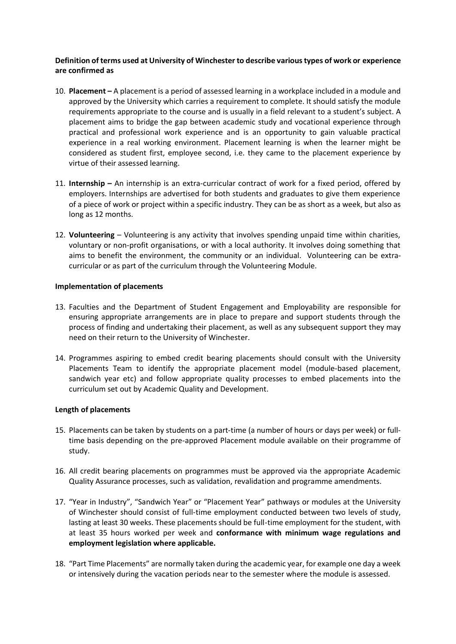# **Definition of terms used at University of Winchester to describe various types of work or experience are confirmed as**

- 10. **Placement –** A placement is a period of assessed learning in a workplace included in a module and approved by the University which carries a requirement to complete. It should satisfy the module requirements appropriate to the course and is usually in a field relevant to a student's subject. A placement aims to bridge the gap between academic study and vocational experience through practical and professional work experience and is an opportunity to gain valuable practical experience in a real working environment. Placement learning is when the learner might be considered as student first, employee second, i.e. they came to the placement experience by virtue of their assessed learning.
- 11. **Internship –** An internship is an extra-curricular contract of work for a fixed period, offered by employers. Internships are advertised for both students and graduates to give them experience of a piece of work or project within a specific industry. They can be as short as a week, but also as long as 12 months.
- 12. **Volunteering**  Volunteering is any activity that involves spending unpaid time within charities, voluntary or non-profit organisations, or with a local authority. It involves doing something that aims to benefit the environment, the community or an individual. Volunteering can be extracurricular or as part of the curriculum through the Volunteering Module.

# **Implementation of placements**

- 13. Faculties and the Department of Student Engagement and Employability are responsible for ensuring appropriate arrangements are in place to prepare and support students through the process of finding and undertaking their placement, as well as any subsequent support they may need on their return to the University of Winchester.
- 14. Programmes aspiring to embed credit bearing placements should consult with the University Placements Team to identify the appropriate placement model (module-based placement, sandwich year etc) and follow appropriate quality processes to embed placements into the curriculum set out by Academic Quality and Development.

# **Length of placements**

- 15. Placements can be taken by students on a part-time (a number of hours or days per week) or fulltime basis depending on the pre-approved Placement module available on their programme of study.
- 16. All credit bearing placements on programmes must be approved via the appropriate Academic Quality Assurance processes, such as validation, revalidation and programme amendments.
- 17. "Year in Industry", "Sandwich Year" or "Placement Year" pathways or modules at the University of Winchester should consist of full-time employment conducted between two levels of study, lasting at least 30 weeks. These placements should be full-time employment for the student, with at least 35 hours worked per week and **conformance with minimum wage regulations and employment legislation where applicable.**
- 18. "Part Time Placements" are normally taken during the academic year, for example one day a week or intensively during the vacation periods near to the semester where the module is assessed.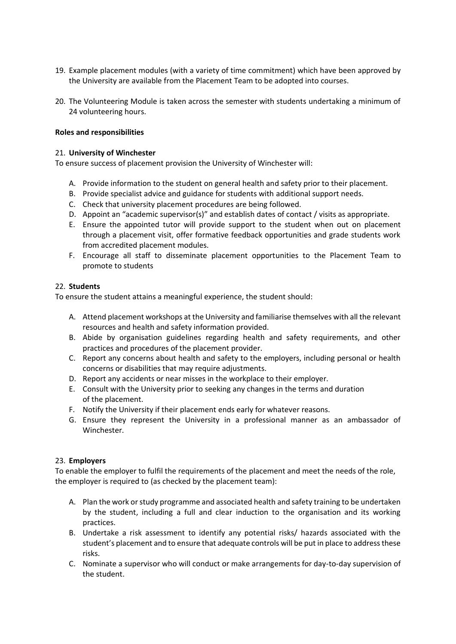- 19. Example placement modules (with a variety of time commitment) which have been approved by the University are available from the Placement Team to be adopted into courses.
- 20. The Volunteering Module is taken across the semester with students undertaking a minimum of 24 volunteering hours.

# **Roles and responsibilities**

#### 21. **University of Winchester**

To ensure success of placement provision the University of Winchester will:

- A. Provide information to the student on general health and safety prior to their placement.
- B. Provide specialist advice and guidance for students with additional support needs.
- C. Check that university placement procedures are being followed.
- D. Appoint an "academic supervisor(s)" and establish dates of contact / visits as appropriate.
- E. Ensure the appointed tutor will provide support to the student when out on placement through a placement visit, offer formative feedback opportunities and grade students work from accredited placement modules.
- F. Encourage all staff to disseminate placement opportunities to the Placement Team to promote to students

#### 22. **Students**

To ensure the student attains a meaningful experience, the student should:

- A. Attend placement workshops at the University and familiarise themselves with all the relevant resources and health and safety information provided.
- B. Abide by organisation guidelines regarding health and safety requirements, and other practices and procedures of the placement provider.
- C. Report any concerns about health and safety to the employers, including personal or health concerns or disabilities that may require adjustments.
- D. Report any accidents or near misses in the workplace to their employer.
- E. Consult with the University prior to seeking any changes in the terms and duration of the placement.
- F. Notify the University if their placement ends early for whatever reasons.
- G. Ensure they represent the University in a professional manner as an ambassador of Winchester.

# 23. **Employers**

To enable the employer to fulfil the requirements of the placement and meet the needs of the role, the employer is required to (as checked by the placement team):

- A. Plan the work or study programme and associated health and safety training to be undertaken by the student, including a full and clear induction to the organisation and its working practices.
- B. Undertake a risk assessment to identify any potential risks/ hazards associated with the student's placement and to ensure that adequate controls will be put in place to address these risks.
- C. Nominate a supervisor who will conduct or make arrangements for day-to-day supervision of the student.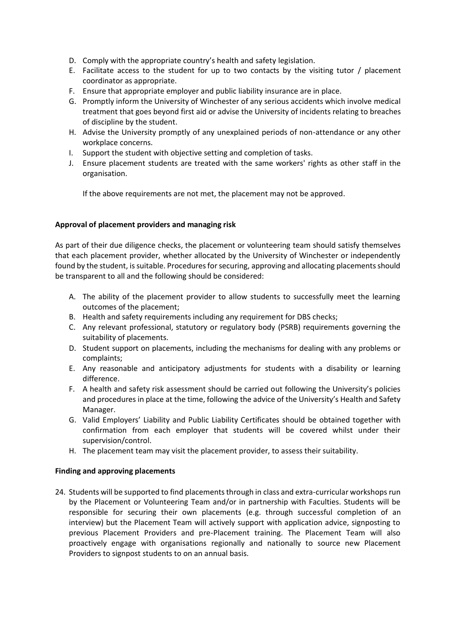- D. Comply with the appropriate country's health and safety legislation.
- E. Facilitate access to the student for up to two contacts by the visiting tutor / placement coordinator as appropriate.
- F. Ensure that appropriate employer and public liability insurance are in place.
- G. Promptly inform the University of Winchester of any serious accidents which involve medical treatment that goes beyond first aid or advise the University of incidents relating to breaches of discipline by the student.
- H. Advise the University promptly of any unexplained periods of non-attendance or any other workplace concerns.
- I. Support the student with objective setting and completion of tasks.
- J. Ensure placement students are treated with the same workers' rights as other staff in the organisation.

If the above requirements are not met, the placement may not be approved.

# **Approval of placement providers and managing risk**

As part of their due diligence checks, the placement or volunteering team should satisfy themselves that each placement provider, whether allocated by the University of Winchester or independently found by the student, is suitable. Procedures for securing, approving and allocating placements should be transparent to all and the following should be considered:

- A. The ability of the placement provider to allow students to successfully meet the learning outcomes of the placement;
- B. Health and safety requirements including any requirement for DBS checks;
- C. Any relevant professional, statutory or regulatory body (PSRB) requirements governing the suitability of placements.
- D. Student support on placements, including the mechanisms for dealing with any problems or complaints;
- E. Any reasonable and anticipatory adjustments for students with a disability or learning difference.
- F. A health and safety risk assessment should be carried out following the University's policies and procedures in place at the time, following the advice of the University's Health and Safety Manager.
- G. Valid Employers' Liability and Public Liability Certificates should be obtained together with confirmation from each employer that students will be covered whilst under their supervision/control.
- H. The placement team may visit the placement provider, to assess their suitability.

# **Finding and approving placements**

24. Students will be supported to find placements through in class and extra-curricular workshops run by the Placement or Volunteering Team and/or in partnership with Faculties. Students will be responsible for securing their own placements (e.g. through successful completion of an interview) but the Placement Team will actively support with application advice, signposting to previous Placement Providers and pre-Placement training. The Placement Team will also proactively engage with organisations regionally and nationally to source new Placement Providers to signpost students to on an annual basis.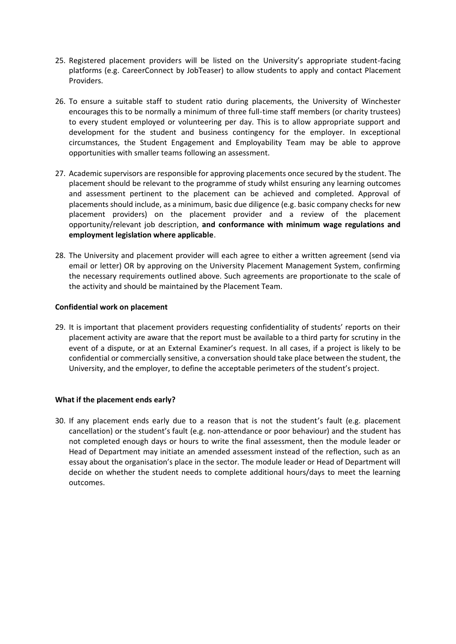- 25. Registered placement providers will be listed on the University's appropriate student-facing platforms (e.g. CareerConnect by JobTeaser) to allow students to apply and contact Placement Providers.
- 26. To ensure a suitable staff to student ratio during placements, the University of Winchester encourages this to be normally a minimum of three full-time staff members (or charity trustees) to every student employed or volunteering per day. This is to allow appropriate support and development for the student and business contingency for the employer. In exceptional circumstances, the Student Engagement and Employability Team may be able to approve opportunities with smaller teams following an assessment.
- 27. Academic supervisors are responsible for approving placements once secured by the student. The placement should be relevant to the programme of study whilst ensuring any learning outcomes and assessment pertinent to the placement can be achieved and completed. Approval of placements should include, as a minimum, basic due diligence (e.g. basic company checks for new placement providers) on the placement provider and a review of the placement opportunity/relevant job description, **and conformance with minimum wage regulations and employment legislation where applicable**.
- 28. The University and placement provider will each agree to either a written agreement (send via email or letter) OR by approving on the University Placement Management System, confirming the necessary requirements outlined above. Such agreements are proportionate to the scale of the activity and should be maintained by the Placement Team.

# **Confidential work on placement**

29. It is important that placement providers requesting confidentiality of students' reports on their placement activity are aware that the report must be available to a third party for scrutiny in the event of a dispute, or at an External Examiner's request. In all cases, if a project is likely to be confidential or commercially sensitive, a conversation should take place between the student, the University, and the employer, to define the acceptable perimeters of the student's project.

# **What if the placement ends early?**

30. If any placement ends early due to a reason that is not the student's fault (e.g. placement cancellation) or the student's fault (e.g. non-attendance or poor behaviour) and the student has not completed enough days or hours to write the final assessment, then the module leader or Head of Department may initiate an amended assessment instead of the reflection, such as an essay about the organisation's place in the sector. The module leader or Head of Department will decide on whether the student needs to complete additional hours/days to meet the learning outcomes.